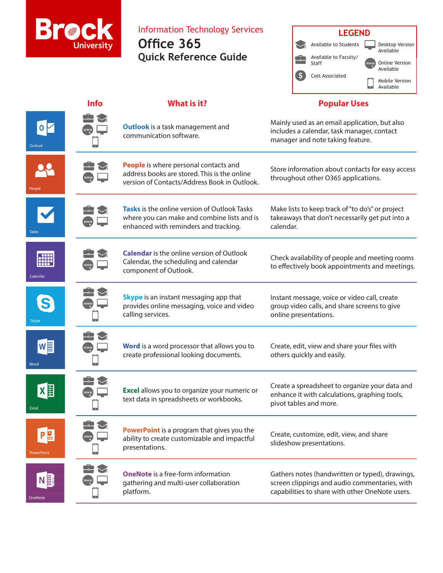

Information Technology Services

**Office 365 Quick Reference Guide**



## **Info What is it? Popular Uses** Mainly used as an email application, but also  $\circ \triangleright$ **Outlook** is a task management and includes a calendar, task manager, contact communication software. manager and note taking feature. LO **People** is where personal contacts and Store information about contacts for easy access address books are stored. This is the online throughout other O365 applications. version of Contacts/Address Book in Outlook. Make lists to keep track of "to do's" or project **Tasks** is the online version of Outlook Tasks where you can make and combine lists and is takeaways that don't necessarily get put into a enhanced with reminders and tracking. calendar. Tasks **Calendar** is the online version of Outlook Check availability of people and meeting rooms Calendar, the scheduling and calendar to effectively book appointments and meetings. component of Outlook. Calendar **Skype** is an instant messaging app that Instant message, voice or video call, create provides online messaging, voice and video group video calls, and share screens to give calling services. online presentations.  $\blacktriangledown$ w≣ **Word** is a word processor that allows you to Create, edit, view and share your files with create professional looking documents. others quickly and easily. Word  $\Xi$  $\boxtimes$ Create a spreadsheet to organize your data and  $X$ **Excel** allows you to organize your numeric or enhance it with calculations, graphing tools, text data in spreadsheets or workbooks. pivot tables and more. Excel **PowerPoint** is a program that gives you the Create, customize, edit, view, and share ability to create customizable and impactful slideshow presentations. presentations. **OneNote** is a free-form information Gathers notes (handwritten or typed), drawings,  $N \equiv$ gathering and multi-user collaboration screen clippings and audio commentaries, with platform. capabilities to share with other OneNote users. OneNote